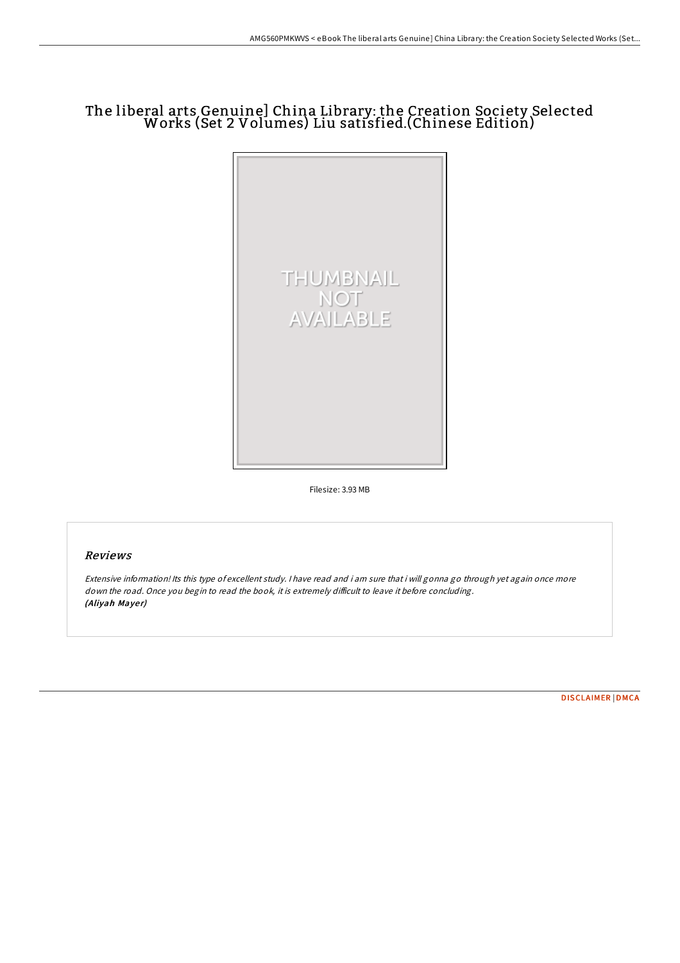## The liberal arts Genuine] China Library: the Creation Society Selected Works (Set 2 Volumes) Liu satisfied.(Chinese Edition)



Filesize: 3.93 MB

## Reviews

Extensive information! Its this type of excellent study. <sup>I</sup> have read and i am sure that i will gonna go through yet again once more down the road. Once you begin to read the book, it is extremely difficult to leave it before concluding. (Aliyah Mayer)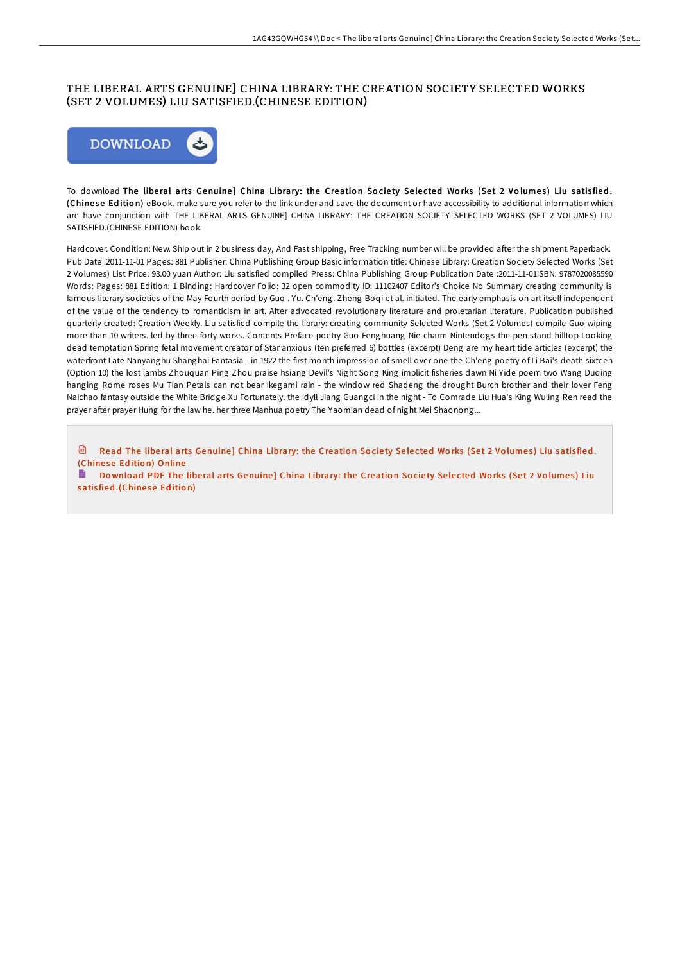## THE LIBERAL ARTS GENUINE] CHINA LIBRARY: THE CREATION SOCIETY SELECTED WORKS (SET 2 VOLUMES) LIU SATISFIED.(CHINESE EDITION)



To download The liberal arts Genuine] China Library: the Creation Society Selected Works (Set 2 Volumes) Liu satisfied. (Chine se Ed itio n) eBook, make sure you refer to the link under and save the document or have accessibility to additional information which are have conjunction with THE LIBERAL ARTS GENUINE] CHINA LIBRARY: THE CREATION SOCIETY SELECTED WORKS (SET 2 VOLUMES) LIU SATISFIED.(CHINESE EDITION) book.

Hardcover. Condition: New. Ship out in 2 business day, And Fast shipping, Free Tracking number will be provided after the shipment.Paperback. Pub Date :2011-11-01 Pages: 881 Publisher: China Publishing Group Basic information title: Chinese Library: Creation Society Selected Works (Set 2 Volumes) List Price: 93.00 yuan Author: Liu satisfied compiled Press: China Publishing Group Publication Date :2011-11-01ISBN: 9787020085590 Words: Pages: 881 Edition: 1 Binding: Hardcover Folio: 32 open commodity ID: 11102407 Editor's Choice No Summary creating community is famous literary societies of the May Fourth period by Guo . Yu. Ch'eng. Zheng Boqi et al. initiated. The early emphasis on art itself independent of the value of the tendency to romanticism in art. After advocated revolutionary literature and proletarian literature. Publication published quarterly created: Creation Weekly. Liu satisfied compile the library: creating community Selected Works (Set 2 Volumes) compile Guo wiping more than 10 writers. led by three forty works. Contents Preface poetry Guo Fenghuang Nie charm Nintendogs the pen stand hilltop Looking dead temptation Spring fetal movement creator of Star anxious (ten preferred 6) bottles (excerpt) Deng are my heart tide articles (excerpt) the waterfront Late Nanyanghu Shanghai Fantasia - in 1922 the first month impression of smell over one the Ch'eng poetry of Li Bai's death sixteen (Option 10) the lost lambs Zhouquan Ping Zhou praise hsiang Devil's Night Song King implicit fisheries dawn Ni Yide poem two Wang Duqing hanging Rome roses Mu Tian Petals can not bear Ikegami rain - the window red Shadeng the drought Burch brother and their lover Feng Naichao fantasy outside the White Bridge Xu Fortunately. the idyll Jiang Guangci in the night - To Comrade Liu Hua's King Wuling Ren read the prayer after prayer Hung for the law he. her three Manhua poetry The Yaomian dead of night Mei Shaonong...

**D** Read The liberal arts [Genuine](http://almighty24.tech/the-liberal-arts-genuine-china-library-the-creat.html)] China Library: the Creation Society Selected Works (Set 2 Volumes) Liu satisfied. (Chinese Edition) Online

Do wnload PDF The liberal arts [Genuine](http://almighty24.tech/the-liberal-arts-genuine-china-library-the-creat.html)l China Library: the Creation Society Selected Works (Set 2 Volumes) Liu satisfied.(Chinese Edition)